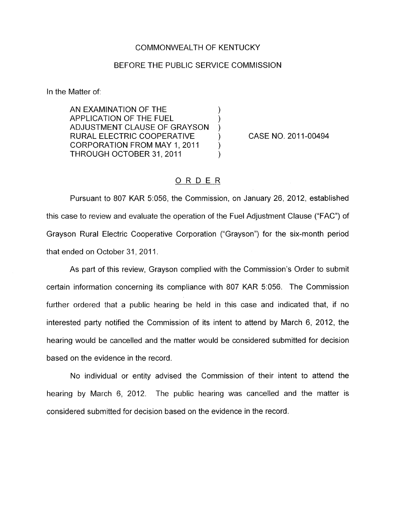## COMMONWEALTH OF KENTUCKY

## BEFORE THE PUBLIC SERVICE COMMISSION

In the Matter of:

AN EXAMINATION OF THE 1 APPLICATION OF THE FUEL ) RURAL ELECTRIC COOPERATIVE ) CORPORATION FROM MAY 1, 2011<br>THROUGH OCTOBER 31, 2011 ADJUSTMENT CLAUSE OF GRAYSON )

CASE NO. 201 1-00494

## ORDER

Pursuant to 807 KAR 5:056, the Commission, on January 26, 2012, established this case to review and evaluate the operation of the Fuel Adjustment Clause ("FAC") of Grayson Rural Electric Cooperative Corporation ("Grayson") for the six-month period that ended on October 31, 2011.

As part of this review, Grayson complied with the Commission's Order to submit certain information concerning its compliance with 807 KAR 5:056. The Commission further ordered that a public hearing be held in this case and indicated that, if no interested party notified the Commission of its intent to attend by March 6, 2012, the hearing would be cancelled and the matter would be considered submitted for decision based on the evidence in the record.

No individual or entity advised the Commission of their intent to attend the hearing by March 6, 2012. The public hearing was cancelled and the matter is considered submitted for decision based on the evidence in the record.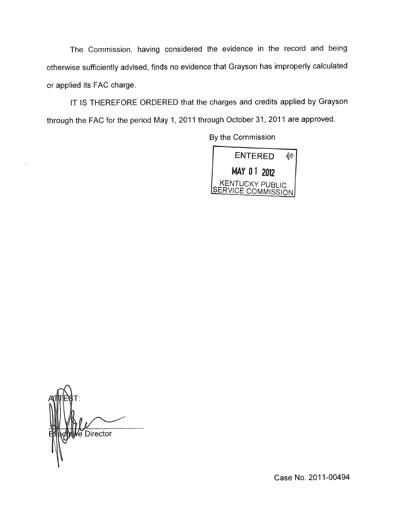The Commission, having considered the evidence in the record and being otherwise sufficiently advised, finds no evidence that Grayson has improperly calculated or applied its FAC charge.

IT IS THEREFORE ORDERED that the charges and credits applied by Grayson through the FAC for the period May 1, 2011 through October 31, 2011 are approved.

BY the Commission



e Director

Case No. 2011-00494